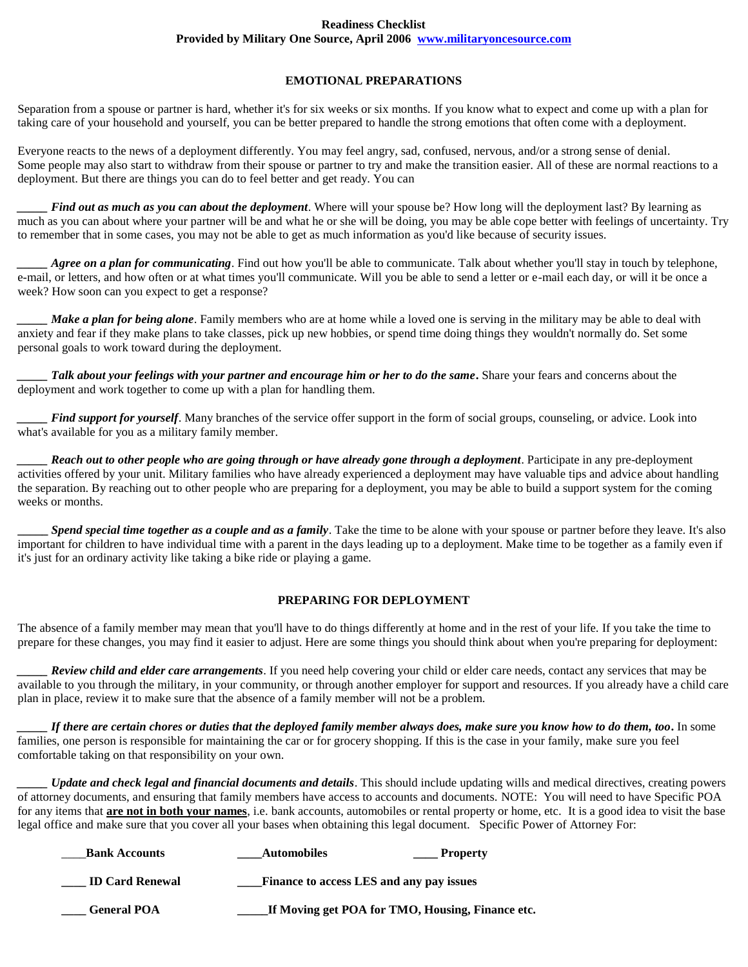#### **Readiness Checklist Provided by Military One Source, April 2006 [www.militaryoncesource.com](http://www.militaryoncesource.com/)**

# **EMOTIONAL PREPARATIONS**

Separation from a spouse or partner is hard, whether it's for six weeks or six months. If you know what to expect and come up with a plan for taking care of your household and yourself, you can be better prepared to handle the strong emotions that often come with a deployment.

Everyone reacts to the news of a deployment differently. You may feel angry, sad, confused, nervous, and/or a strong sense of denial. Some people may also start to withdraw from their spouse or partner to try and make the transition easier. All of these are normal reactions to a deployment. But there are things you can do to feel better and get ready. You can

*Find out as much as you can about the deployment*. Where will your spouse be? How long will the deployment last? By learning as much as you can about where your partner will be and what he or she will be doing, you may be able cope better with feelings of uncertainty. Try to remember that in some cases, you may not be able to get as much information as you'd like because of security issues.

*Agree on a plan for communicating*. Find out how you'll be able to communicate. Talk about whether you'll stay in touch by telephone, e-mail, or letters, and how often or at what times you'll communicate. Will you be able to send a letter or e-mail each day, or will it be once a week? How soon can you expect to get a response?

*Make a plan for being alone*. Family members who are at home while a loved one is serving in the military may be able to deal with anxiety and fear if they make plans to take classes, pick up new hobbies, or spend time doing things they wouldn't normally do. Set some personal goals to work toward during the deployment.

*\_\_\_\_\_ Talk about your feelings with your partner and encourage him or her to do the same***.** Share your fears and concerns about the deployment and work together to come up with a plan for handling them.

*Find support for yourself.* Many branches of the service offer support in the form of social groups, counseling, or advice. Look into what's available for you as a military family member.

*\_\_\_\_\_ Reach out to other people who are going through or have already gone through a deployment*. Participate in any pre-deployment activities offered by your unit. Military families who have already experienced a deployment may have valuable tips and advice about handling the separation. By reaching out to other people who are preparing for a deployment, you may be able to build a support system for the coming weeks or months.

**\_\_\_\_\_** *Spend special time together as a couple and as a family*. Take the time to be alone with your spouse or partner before they leave. It's also important for children to have individual time with a parent in the days leading up to a deployment. Make time to be together as a family even if it's just for an ordinary activity like taking a bike ride or playing a game.

## **PREPARING FOR DEPLOYMENT**

The absence of a family member may mean that you'll have to do things differently at home and in the rest of your life. If you take the time to prepare for these changes, you may find it easier to adjust. Here are some things you should think about when you're preparing for deployment:

*Review child and elder care arrangements*. If you need help covering your child or elder care needs, contact any services that may be available to you through the military, in your community, or through another employer for support and resources. If you already have a child care plan in place, review it to make sure that the absence of a family member will not be a problem.

*\_\_\_\_\_ If there are certain chores or duties that the deployed family member always does, make sure you know how to do them, too***.** In some families, one person is responsible for maintaining the car or for grocery shopping. If this is the case in your family, make sure you feel comfortable taking on that responsibility on your own.

*Update and check legal and financial documents and details*. This should include updating wills and medical directives, creating powers of attorney documents, and ensuring that family members have access to accounts and documents. NOTE: You will need to have Specific POA for any items that **are not in both your names**, i.e. bank accounts, automobiles or rental property or home, etc. It is a good idea to visit the base legal office and make sure that you cover all your bases when obtaining this legal document. Specific Power of Attorney For:

| <b>Bank Accounts</b>   | <b>Automobiles</b>                               | <b>Property</b> |
|------------------------|--------------------------------------------------|-----------------|
| <b>ID Card Renewal</b> | Finance to access LES and any pay issues         |                 |
| <b>General POA</b>     | If Moving get POA for TMO, Housing, Finance etc. |                 |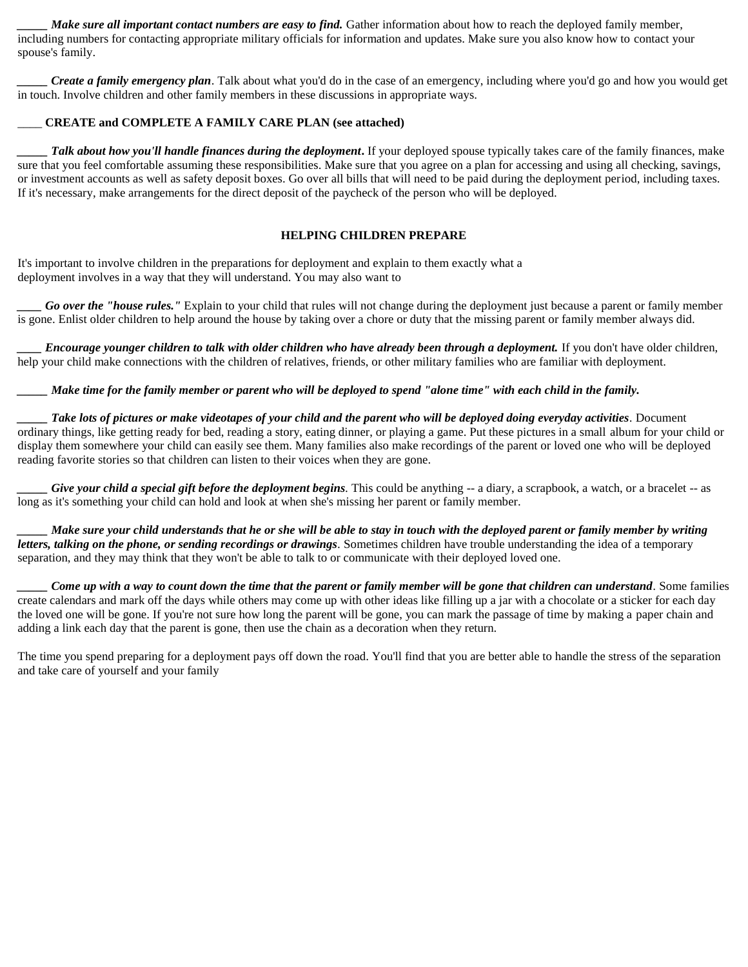*Make sure all important contact numbers are easy to find.* Gather information about how to reach the deployed family member, including numbers for contacting appropriate military officials for information and updates. Make sure you also know how to contact your spouse's family.

*Create a family emergency plan*. Talk about what you'd do in the case of an emergency, including where you'd go and how you would get in touch. Involve children and other family members in these discussions in appropriate ways.

#### \_\_\_\_ **CREATE and COMPLETE A FAMILY CARE PLAN (see attached)**

**Talk about how you'll handle finances during the deployment.** If your deployed spouse typically takes care of the family finances, make sure that you feel comfortable assuming these responsibilities. Make sure that you agree on a plan for accessing and using all checking, savings, or investment accounts as well as safety deposit boxes. Go over all bills that will need to be paid during the deployment period, including taxes. If it's necessary, make arrangements for the direct deposit of the paycheck of the person who will be deployed.

## **HELPING CHILDREN PREPARE**

It's important to involve children in the preparations for deployment and explain to them exactly what a deployment involves in a way that they will understand. You may also want to

*Go over the "house rules."* Explain to your child that rules will not change during the deployment just because a parent or family member is gone. Enlist older children to help around the house by taking over a chore or duty that the missing parent or family member always did.

*Encourage younger children to talk with older children who have already been through a deployment*. If you don't have older children, help your child make connections with the children of relatives, friends, or other military families who are familiar with deployment.

*Make time for the family member or parent who will be deployed to spend "alone time" with each child in the family.* 

*\_\_\_\_\_ Take lots of pictures or make videotapes of your child and the parent who will be deployed doing everyday activities.* Document ordinary things, like getting ready for bed, reading a story, eating dinner, or playing a game. Put these pictures in a small album for your child or display them somewhere your child can easily see them. Many families also make recordings of the parent or loved one who will be deployed reading favorite stories so that children can listen to their voices when they are gone.

*Give your child a special gift before the deployment begins*. This could be anything  $-$  a diary, a scrapbook, a watch, or a bracelet  $-$  as long as it's something your child can hold and look at when she's missing her parent or family member.

*Make sure your child understands that he or she will be able to stay in touch with the deployed parent or family member by writing letters, talking on the phone, or sending recordings or drawings.* Sometimes children have trouble understanding the idea of a temporary separation, and they may think that they won't be able to talk to or communicate with their deployed loved one.

*\_\_\_\_\_ Come up with a way to count down the time that the parent or family member will be gone that children can understand.* Some families create calendars and mark off the days while others may come up with other ideas like filling up a jar with a chocolate or a sticker for each day the loved one will be gone. If you're not sure how long the parent will be gone, you can mark the passage of time by making a paper chain and adding a link each day that the parent is gone, then use the chain as a decoration when they return.

The time you spend preparing for a deployment pays off down the road. You'll find that you are better able to handle the stress of the separation and take care of yourself and your family